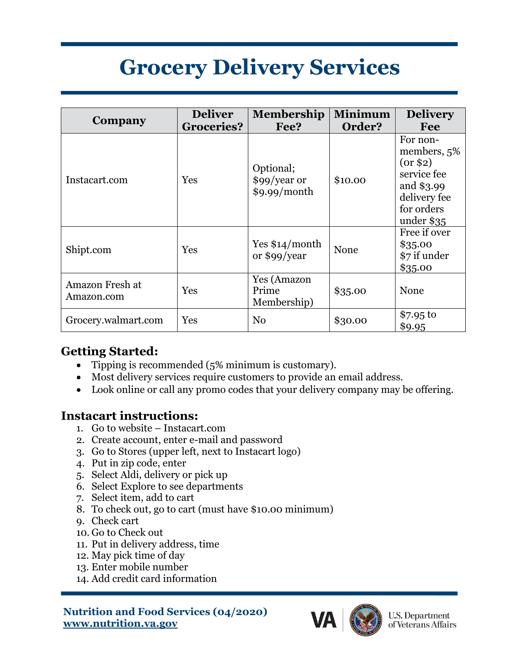# **Grocery Delivery Services**

| Company                       | <b>Deliver</b><br><b>Groceries?</b> | <b>Membership</b><br>Fee?                 | <b>Minimum</b><br>Order? | <b>Delivery</b><br>Fee                                                                                        |
|-------------------------------|-------------------------------------|-------------------------------------------|--------------------------|---------------------------------------------------------------------------------------------------------------|
| Instacart.com                 | Yes                                 | Optional;<br>\$99/year or<br>\$9.99/month | \$10.00                  | For non-<br>members, 5%<br>(0r \$2)<br>service fee<br>and \$3.99<br>delivery fee<br>for orders<br>under $$35$ |
| Shipt.com                     | Yes                                 | Yes $$14/month$<br>or \$99/year           | None                     | Free if over<br>\$35.00<br>\$7 if under<br>\$35.00                                                            |
| Amazon Fresh at<br>Amazon.com | Yes                                 | Yes (Amazon<br>Prime<br>Membership)       | \$35.00                  | None                                                                                                          |
| Grocery.walmart.com           | Yes                                 | N <sub>0</sub>                            | \$30.00                  | \$7.95 to<br>\$9.95                                                                                           |

## **Getting Started:**

- Tipping is recommended (5% minimum is customary).
- Most delivery services require customers to provide an email address.
- Look online or call any promo codes that your delivery company may be offering.

## **Instacart instructions:**

- 1. Go to website Instacart.com
- 2. Create account, enter e-mail and password
- 3. Go to Stores (upper left, next to Instacart logo)
- 4. Put in zip code, enter
- 5. Select Aldi, delivery or pick up
- 6. Select Explore to see departments
- 7. Select item, add to cart
- 8. To check out, go to cart (must have \$10.00 minimum)
- 9. Check cart
- 10. Go to Check out
- 11. Put in delivery address, time
- 12. May pick time of day
- 13. Enter mobile number
- 14. Add credit card information

#### **Nutrition and Food Services (04/2020) www.nutrition.va.gov**



**U.S. Department** of Veterans Affairs